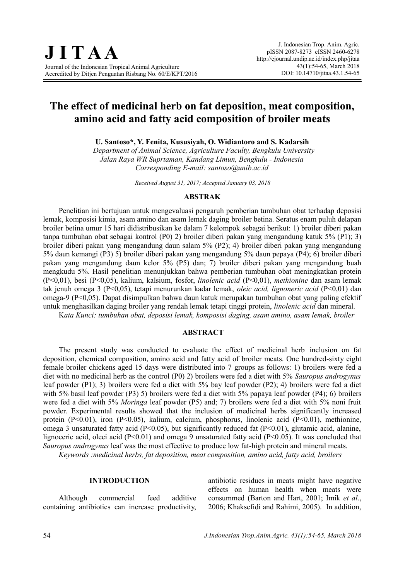# **The effect of medicinal herb on fat deposition, meat composition, amino acid and fatty acid composition of broiler meats**

**U. Santoso\*, Y. Fenita, Kususiyah, O. Widiantoro and S. Kadarsih**

*Department of Animal Science, Agriculture Faculty, Bengkulu University Jalan Raya WR Suprtaman, Kandang Limun, Bengkulu - Indonesia Corresponding E-mail: [santoso@unib.ac.id](mailto:santoso@unib.ac.id)*

*Received August 31, 2017; Accepted January 03, 2018*

#### **ABSTRAK**

Penelitian ini bertujuan untuk mengevaluasi pengaruh pemberian tumbuhan obat terhadap deposisi lemak, komposisi kimia, asam amino dan asam lemak daging broiler betina. Seratus enam puluh delapan broiler betina umur 15 hari didistribusikan ke dalam 7 kelompok sebagai berikut: 1) broiler diberi pakan tanpa tumbuhan obat sebagai kontrol (P0) 2) broiler diberi pakan yang mengandung katuk 5% (P1); 3) broiler diberi pakan yang mengandung daun salam 5% (P2); 4) broiler diberi pakan yang mengandung 5% daun kemangi (P3) 5) broiler diberi pakan yang mengandung 5% daun pepaya (P4); 6) broiler diberi pakan yang mengandung daun kelor 5% (P5) dan; 7) broiler diberi pakan yang mengandung buah mengkudu 5%. Hasil penelitian menunjukkan bahwa pemberian tumbuhan obat meningkatkan protein (P<0,01), besi (P<0,05), kalium, kalsium, fosfor, *linolenic acid* (P<0,01), *methionine* dan asam lemak tak jenuh omega 3 (P<0,05), tetapi menurunkan kadar lemak, *oleic acid, lignoneric acid* (P<0,01) dan omega-9 (P<0,05). Dapat disimpulkan bahwa daun katuk merupakan tumbuhan obat yang paling efektif untuk menghasilkan daging broiler yang rendah lemak tetapi tinggi protein, *linolenic acid* dan mineral. K*ata Kunci: tumbuhan obat, deposisi lemak, komposisi daging, asam amino, asam lemak, broiler*

#### **ABSTRACT**

The present study was conducted to evaluate the effect of medicinal herb inclusion on fat deposition, chemical composition, amino acid and fatty acid of broiler meats. One hundred-sixty eight female broiler chickens aged 15 days were distributed into 7 groups as follows: 1) broilers were fed a diet with no medicinal herb as the control (P0) 2) broilers were fed a diet with 5% *Sauropus androgynus* leaf powder (P1); 3) broilers were fed a diet with 5% bay leaf powder (P2); 4) broilers were fed a diet with 5% basil leaf powder (P3) 5) broilers were fed a diet with 5% papaya leaf powder (P4); 6) broilers were fed a diet with 5% *Moringa* leaf powder (P5) and; 7) broilers were fed a diet with 5% noni fruit powder. Experimental results showed that the inclusion of medicinal herbs significantly increased protein (P<0.01), iron (P<0.05), kalium, calcium, phosphorus, linolenic acid (P<0.01), methionine, omega 3 unsaturated fatty acid (P<0.05), but significantly reduced fat (P<0.01), glutamic acid, alanine, lignoceric acid, oleci acid (P<0.01) and omega 9 unsaturated fatty acid (P<0.05). It was concluded that *Sauropus androgynus* leaf was the most effective to produce low fat-high protein and mineral meats.

*Keywords :medicinal herbs, fat deposition, meat composition, amino acid, fatty acid, broilers*

#### **INTRODUCTION**

Although commercial feed additive containing antibiotics can increase productivity,

antibiotic residues in meats might have negative effects on human health when meats were consummed (Barton and Hart, 2001; Imik *et al*., 2006; Khaksefidi and Rahimi, 2005). In addition,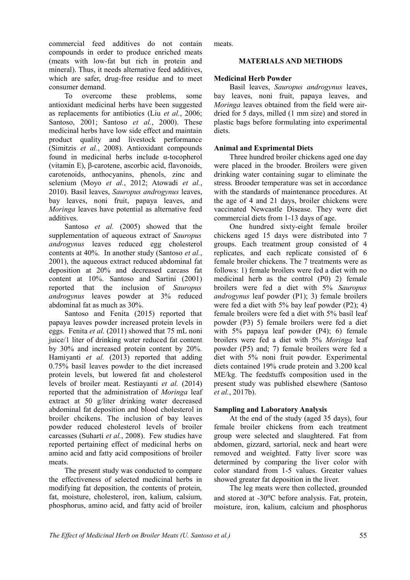commercial feed additives do not contain compounds in order to produce enriched meats (meats with low-fat but rich in protein and mineral). Thus, it needs alternative feed additives, which are safer, drug-free residue and to meet consumer demand.

To overcome these problems, some antioxidant medicinal herbs have been suggested as replacements for antibiotics (Liu *et al.*, 2006; Santoso, 2001; Santoso *et al.*, 2000). These medicinal herbs have low side effect and maintain product quality and livestock performance (Simitzis *et al.*, 2008). Antioxidant compounds found in medicinal herbs include α-tocopherol (vitamin E), β-carotene, ascorbic acid, flavonoids, carotenoids, anthocyanins, phenols, zinc and selenium (Moyo *et al.*, 2012; Atowadi *et al.*, 2010). Basil leaves, *Sauropus androgynus* leaves, bay leaves, noni fruit, papaya leaves, and *Moringa* leaves have potential as alternative feed additives.

Santoso *et al.* (2005) showed that the supplementation of aqueous extract of *Sauropus androgynus* leaves reduced egg cholesterol contents at 40%. In another study (Santoso *et al.*, 2001), the aqueous extract reduced abdominal fat deposition at 20% and decreased carcass fat content at 10%. Santoso and Sartini (2001) reported that the inclusion of *Sauropus androgynus* leaves powder at 3% reduced abdominal fat as much as 30%.

Santoso and Fenita (2015) reported that papaya leaves powder increased protein levels in eggs. Fenita *et al.* (2011) showed that 75 mL noni juice/1 liter of drinking water reduced fat content by 30% and increased protein content by 20%. Hamiyanti *et al.* (2013) reported that adding 0.75% basil leaves powder to the diet increased protein levels, but lowered fat and cholesterol levels of broiler meat. Restiayanti *et al.* (2014) reported that the administration of *Moringa* leaf extract at 50 g/liter drinking water decreased abdominal fat deposition and blood cholesterol in broiler chcikens. The inclusion of bay leaves powder reduced cholesterol levels of broiler carcasses (Suharti *et al.*, 2008). Few studies have reported pertaining effect of medicinal herbs on amino acid and fatty acid compositions of broiler meats.

The present study was conducted to compare the effectiveness of selected medicinal herbs in modifying fat deposition, the contents of protein, fat, moisture, cholesterol, iron, kalium, calsium, phosphorus, amino acid, and fatty acid of broiler meats.

### **MATERIALS AND METHODS**

### **Medicinal Herb Powder**

Basil leaves, *Sauropus androgynus* leaves, bay leaves, noni fruit, papaya leaves, and *Moringa* leaves obtained from the field were airdried for 5 days, milled (1 mm size) and stored in plastic bags before formulating into experimental diets.

## **Animal and Exprimental Diets**

Three hundred broiler chickens aged one day were placed in the brooder. Broilers were given drinking water containing sugar to eliminate the stress. Brooder temperature was set in accordance with the standards of maintenance procedures. At the age of 4 and 21 days, broiler chickens were vaccinated Newcastle Disease. They were diet commercial diets from 1-13 days of age.

One hundred sixty-eight female broiler chickens aged 15 days were distributed into 7 groups. Each treatment group consisted of 4 replicates, and each replicate consisted of 6 female broiler chickens. The 7 treatments were as follows: 1) female broilers were fed a diet with no medicinal herb as the control (P0) 2) female broilers were fed a diet with 5% *Sauropus androgynus* leaf powder (P1); 3) female broilers were fed a diet with 5% bay leaf powder (P2); 4) female broilers were fed a diet with 5% basil leaf powder (P3) 5) female broilers were fed a diet with 5% papaya leaf powder (P4); 6) female broilers were fed a diet with 5% *Moringa* leaf powder (P5) and; 7) female broilers were fed a diet with 5% noni fruit powder. Experimental diets contained 19% crude protein and 3.200 kcal ME/kg. The feedstuffs composition used in the present study was published elsewhere (Santoso *et al.*, 2017b).

## **Sampling and Laboratory Analysis**

At the end of the study (aged 35 days), four female broiler chickens from each treatment group were selected and slaughtered. Fat from abdomen, gizzard, sartorial, neck and heart were removed and weighted. Fatty liver score was determined by comparing the liver color with color standard from 1-5 values. Greater values showed greater fat deposition in the liver.

The leg meats were then collected, grounded and stored at -30<sup>o</sup>C before analysis. Fat, protein, moisture, iron, kalium, calcium and phosphorus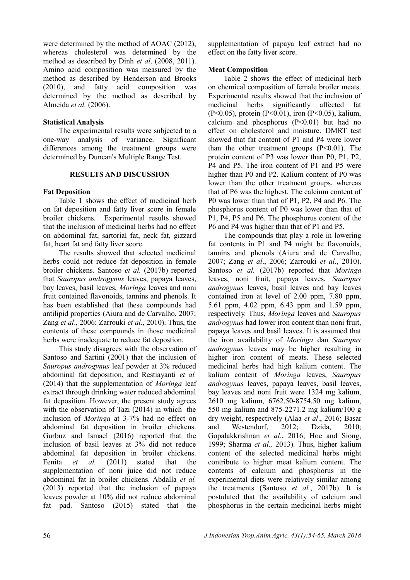were determined by the method of AOAC (2012), whereas cholesterol was determined by the method as described by Dinh *et al*. (2008, 2011). Amino acid composition was measured by the method as described by Henderson and Brooks (2010), and fatty acid composition was determined by the method as described by Almeida *et al.* (2006).

#### **Statistical Analysis**

The experimental results were subjected to a one-way analysis of variance. Significant differences among the treatment groups were determined by Duncan's Multiple Range Test.

#### **RESULTS AND DISCUSSION**

#### **Fat Deposition**

Table 1 shows the effect of medicinal herb on fat deposition and fatty liver score in female broiler chickens. Experimental results showed that the inclusion of medicinal herbs had no effect on abdominal fat, sartorial fat, neck fat, gizzard fat, heart fat and fatty liver score.

The results showed that selected medicinal herbs could not reduce fat deposition in female broiler chickens. Santoso *et al.* (2017b) reported that *Sauropus androgynus* leaves, papaya leaves, bay leaves, basil leaves, *Moringa* leaves and noni fruit contained flavonoids, tannins and phenols. It has been established that these compounds had antilipid properties (Aiura and de Carvalho, 2007; Zang *et al*., 2006; Zarrouki *et al*., 2010). Thus, the contents of these compounds in those medicinal herbs were inadequate to reduce fat depostion.

This study disagrees with the observation of Santoso and Sartini (2001) that the inclusion of *Sauropus androgynus* leaf powder at 3% reduced abdominal fat deposition, and Restiayanti *et al.* (2014) that the supplementation of *Moringa* leaf extract through drinking water reduced abdominal fat deposition. However, the present study agrees with the observation of Tazi (2014) in which the inclusion of *Moringa* at 3-7% had no effect on abdominal fat deposition in broiler chickens. Gurbuz and Ismael (2016) reported that the inclusion of basil leaves at 3% did not reduce abdominal fat deposition in broiler chickens. Fenita *et al.* (2011) stated that the supplementation of noni juice did not reduce abdominal fat in broiler chickens. Abdalla *et al.* (2013) reported that the inclusion of papaya leaves powder at 10% did not reduce abdominal fat pad. Santoso (2015) stated that the

supplementation of papaya leaf extract had no effect on the fatty liver score.

#### **Meat Composition**

Table 2 shows the effect of medicinal herb on chemical composition of female broiler meats. Experimental results showed that the inclusion of medicinal herbs significantly affected fat (P<0.05), protein (P<0.01), iron (P<0.05), kalium, calcium and phosphorus  $(P<0.01)$  but had no effect on cholesterol and moisture. DMRT test showed that fat content of P1 and P4 were lower than the other treatment groups  $(P<0.01)$ . The protein content of P3 was lower than P0, P1, P2, P4 and P5. The iron content of P1 and P5 were higher than P0 and P2. Kalium content of P0 was lower than the other treatment groups, whereas that of P6 was the highest. The calcium content of P0 was lower than that of P1, P2, P4 and P6. The phosphorus content of P0 was lower than that of P1, P4, P5 and P6. The phosphorus content of the P6 and P4 was higher than that of P1 and P5.

The compounds that play a role in lowering fat contents in P1 and P4 might be flavonoids, tannins and phenols (Aiura and de Carvalho, 2007; Zang *et al*., 2006; Zarrouki *et al*., 2010). Santoso *et al.* (2017b) reported that *Moringa* leaves, noni fruit, papaya leaves, *Sauropus androgynus* leaves, basil leaves and bay leaves contained iron at level of 2.00 ppm, 7.80 ppm, 5.61 ppm, 4.02 ppm, 6.43 ppm and 1.59 ppm, respectively. Thus, *Moringa* leaves and *Sauropus androgynus* had lower iron content than noni fruit, papaya leaves and basil leaves. It is assumed that the iron availability of *Moringa* dan *Sauropus androgynus* leaves may be higher resulting in higher iron content of meats. These selected medicinal herbs had high kalium content. The kalium content of *Moringa* leaves, *Sauropus androgynus* leaves, papaya leaves, basil leaves, bay leaves and noni fruit were 1324 mg kalium, 2610 mg kalium, 6762.50-8754.50 mg kalium, 550 mg kalium and 875-2271.2 mg kalium/100 g dry weight, respectively (Alaa *et al*., 2016; Basar and Westendorf, 2012; Dzida, 2010; Gopalakkrishnan *et al*., 2016; Hoe and Siong, 1999; Sharma *et al.,* 2013). Thus, higher kalium content of the selected medicinal herbs might contribute to higher meat kalium content. The contents of calcium and phosphorus in the experimental diets were relatively similar among the treatments (Santoso *et al.*, 2017b). It is postulated that the availability of calcium and phosphorus in the certain medicinal herbs might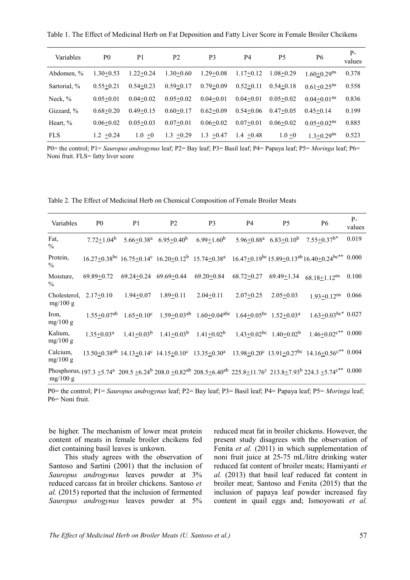Table 1. The Effect of Medicinal Herb on Fat Deposition and Fatty Liver Score in Female Broiler Chcikens

| Variables    | P <sub>0</sub> | P1            | P <sub>2</sub> | P <sub>3</sub> | P <sub>4</sub> | P5            | P6                          | $P-$<br>values |
|--------------|----------------|---------------|----------------|----------------|----------------|---------------|-----------------------------|----------------|
| Abdomen. %   | $1.30+0.53$    | $1.22 + 0.24$ | $1.30+0.60$    | $1.29 + 0.08$  | $1.17+0.12$    | $1.08 + 0.29$ | $1.60 + 0.29$ <sup>ns</sup> | 0.378          |
| Sartorial, % | $0.55 + 0.21$  | $0.54 + 0.23$ | $0.59 + 0.17$  | $0.79 + 0.09$  | $0.52+0.11$    | $0.54 + 0.18$ | $0.61 + 0.25$ <sup>ns</sup> | 0.558          |
| Neck, $\%$   | $0.05 + 0.01$  | $0.04 + 0.02$ | $0.05 + 0.02$  | $0.04 + 0.01$  | $0.04 + 0.01$  | $0.05 + 0.02$ | $0.04+0.01$ <sup>ns</sup>   | 0.836          |
| Gizzard, %   | $0.68 + 0.20$  | $0.49 + 0.15$ | $0.60 + 0.17$  | $0.62+0.09$    | $0.54 + 0.06$  | $0.47 + 0.05$ | $0.45 + 0.14$               | 0.199          |
| Heart, %     | $0.06 + 0.02$  | $0.05 + 0.03$ | $0.07+0.01$    | $0.06 + 0.02$  | $0.07+0.01$    | $0.06 + 0.02$ | $0.05+0.02$ <sup>ns</sup>   | 0.885          |
| <b>FLS</b>   | $1.2 + 0.24$   | 1.0<br>$+0$   | $1.3 + 0.29$   | 1.3<br>$+0.47$ | $1.4 + 0.48$   | $1.0 + 0$     | $1.3 + 0.29$ <sup>ns</sup>  | 0.523          |

P0= the control; P1= *Sauropus androgynus* leaf; P2= Bay leaf; P3= Basil leaf; P4= Papaya leaf; P5= *Moringa* leaf; P6= Noni fruit. FLS= fatty liver score

Table 2. The Effect of Medicinal Herb on Chemical Composition of Female Broiler Meats

| Variables                 | P <sub>0</sub>             | P <sub>1</sub>             | <b>P2</b>         | P <sub>3</sub>                                                                  | <b>P4</b>        | P <sub>5</sub>                                             | <b>P6</b>                                                                                                                                                         | $P-$<br>values |
|---------------------------|----------------------------|----------------------------|-------------------|---------------------------------------------------------------------------------|------------------|------------------------------------------------------------|-------------------------------------------------------------------------------------------------------------------------------------------------------------------|----------------|
| Fat,<br>$\%$              | $7.72 \pm 1.04^b$          | $5.66 + 0.38$ <sup>a</sup> | $6.95 \pm 0.40^b$ | $6.99 \pm 1.60^b$                                                               |                  | $5.96 \pm 0.88^a$ 6.83 $\pm 0.10^b$                        | $7.55 \pm 0.37$ <sup>b*</sup>                                                                                                                                     | 0.019          |
| Protein,<br>$\frac{0}{0}$ |                            |                            |                   |                                                                                 |                  |                                                            | $16.27\pm0.38^{bc}$ $16.75\pm0.14^{c}$ $16.20\pm0.12^{b}$ $15.74\pm0.38^{a}$ $16.47\pm0.19^{bc}$ $15.89\pm0.13^{ab}$ $16.40\pm0.24^{bc**}$ $0.000$                |                |
| Moisture,<br>$\%$         | $69.89 + 0.72$             | $69.24 + 0.24$             | $69.69 + 0.44$    | $69.20 \pm 0.84$                                                                | $68.72 \pm 0.27$ | $69.49 \pm 1.34$                                           | $68.18 + 1.12$ <sup>ns</sup>                                                                                                                                      | 0.100          |
| Cholesterol,<br>mg/100 g  | $2.17+0.10$                | $1.94 + 0.07$              | $1.89 + 0.11$     | $2.04 \pm 0.11$                                                                 | $2.07+0.25$      | $2.05 \pm 0.03$                                            | $1.93 + 0.12$ <sup>ns</sup> 0.066                                                                                                                                 |                |
| Iron,<br>mg/100 g         | $1.55 + 0.07^{ab}$         |                            |                   | $1.65+0.10^c$ $1.59+0.03^{ab}$ $1.60+0.04^{abc}$ $1.64+0.05^{bc}$ $1.52+0.03^a$ |                  |                                                            | $1.63+0.03$ bc* 0.027                                                                                                                                             |                |
| Kalium,<br>mg/100 g       | $1.35 \pm 0.03^{\text{a}}$ |                            |                   | $1.41 \pm 0.03^b$ $1.41 \pm 0.03^b$ $1.41 \pm 0.02^b$                           |                  | $1.43 \pm 0.02$ <sup>bc</sup> $1.40 \pm 0.02$ <sup>b</sup> | $1.46 \pm 0.02$ <sup>c**</sup> 0.000                                                                                                                              |                |
| Calcium,<br>mg/100 g      |                            |                            |                   |                                                                                 |                  |                                                            | $13.50\pm0.38^{ab}$ $14.13\pm0.14^{c}$ $14.15\pm0.10^{c}$ $13.35\pm0.30^{a}$ $13.98\pm0.20^{c}$ $13.91\pm0.27^{bc}$ $14.16\pm0.56^{c**}$ $0.004$                  |                |
| mg/100 g                  |                            |                            |                   |                                                                                 |                  |                                                            | Phosphorus, $197.3 \pm 5.74^a$ 209.5 $\pm 6.24^b$ 208.0 $\pm 0.82^{ab}$ 208.5 $\pm 6.40^{ab}$ 225.8 $\pm 11.76^c$ 213.8 $\pm 7.93^b$ 224.3 $\pm 5.74^{c**}$ 0.000 |                |

P0= the control; P1= *Sauropus androgynus* leaf; P2= Bay leaf; P3= Basil leaf; P4= Papaya leaf; P5= *Moringa* leaf; P6= Noni fruit.

be higher. The mechanism of lower meat protein content of meats in female broiler chcikens fed diet containing basil leaves is unkown.

This study agrees with the observation of Santoso and Sartini (2001) that the inclusion of *Sauropus androgynus* leaves powder at 3% reduced carcass fat in broiler chickens. Santoso *et al.* (2015) reported that the inclusion of fermented *Sauropus androgynus* leaves powder at 5%

reduced meat fat in broiler chickens. However, the present study disagrees with the observation of Fenita *et al.* (2011) in which supplementation of noni fruit juice at 25-75 mL/litre drinking water reduced fat content of broiler meats; Hamiyanti *et al.* (2013) that basil leaf reduced fat content in broiler meat; Santoso and Fenita (2015) that the inclusion of papaya leaf powder increased fay content in quail eggs and; Ismoyowati *et al.*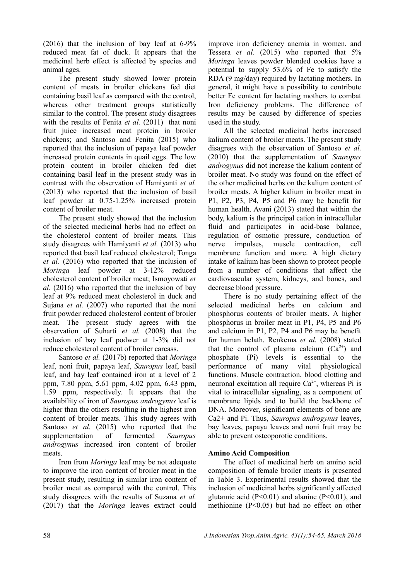(2016) that the inclusion of bay leaf at 6-9% reduced meat fat of duck. It appears that the medicinal herb effect is affected by species and animal ages.

The present study showed lower protein content of meats in broiler chickens fed diet containing basil leaf as compared with the control, whereas other treatment groups statistically similar to the control. The present study disagrees with the results of Fenita *et al.* (2011) that noni fruit juice increased meat protein in broiler chickens; and Santoso and Fenita (2015) who reported that the inclusion of papaya leaf powder increased protein contents in quail eggs. The low protein content in broiler chicken fed diet containing basil leaf in the present study was in contrast with the observation of Hamiyanti *et al.* (2013) who reported that the inclusion of basil leaf powder at 0.75-1.25% increased protein content of broiler meat.

The present study showed that the inclusion of the selected medicinal herbs had no effect on the cholesterol content of broiler meats. This study disagrees with Hamiyanti *et al.* (2013) who reported that basil leaf reduced cholesterol; Tonga *et al.* (2016) who reported that the inclusion of *Moringa* leaf powder at 3-12% reduced cholesterol content of broiler meat; Ismoyowati *et al.* (2016) who reported that the inclusion of bay leaf at 9% reduced meat cholesterol in duck and Sujana *et al.* (2007) who reported that the noni fruit powder reduced cholesterol content of broiler meat. The present study agrees with the observation of Suharti *et al.* (2008) that the inclusion of bay leaf podwer at 1-3% did not reduce cholesterol content of broiler carcass.

Santoso *et al.* (2017b) reported that *Moringa* leaf, noni fruit, papaya leaf, *Sauropus* leaf, basil leaf, and bay leaf contained iron at a level of 2 ppm, 7.80 ppm, 5.61 ppm, 4.02 ppm, 6.43 ppm, 1.59 ppm, respectively. It appears that the availability of iron of *Sauropus androgynus* leaf is higher than the others resulting in the highest iron content of broiler meats. This study agrees with Santoso *et al.* (2015) who reported that the supplementation of fermented *Sauropus androgynus* increased iron content of broiler meats.

Iron from *Moringa* leaf may be not adequate to improve the iron content of broiler meat in the present study, resulting in similar iron content of broiler meat as compared with the control. This study disagrees with the results of Suzana *et al.* (2017) that the *Moringa* leaves extract could

improve iron deficiency anemia in women, and Tessera *et al.* (2015) who reported that 5% *Moringa* leaves powder blended cookies have a potential to supply 53.6% of Fe to satisfy the RDA (9 mg/day) required by lactating mothers. In general, it might have a possibility to contribute better Fe content for lactating mothers to combat Iron deficiency problems. The difference of results may be caused by difference of species used in the study.

All the selected medicinal herbs increased kalium content of broiler meats. The present study disagrees with the observation of Santoso *et al.* (2010) that the supplementation of *Sauropus androgynus* did not increase the kalium content of broiler meat. No study was found on the effect of the other medicinal herbs on the kalium content of broiler meats. A higher kalium in broiler meat in P1, P2, P3, P4, P5 and P6 may be benefit for human health. Avani (2013) stated that within the body, kalium is the principal cation in intracellular fluid and participates in acid-base balance, regulation of osmotic pressure, conduction of nerve impulses, muscle contraction, cell membrane function and more. A high dietary intake of kalium has been shown to protect people from a number of conditions that affect the cardiovascular system, kidneys, and bones, and decrease blood pressure.

There is no study pertaining effect of the selected medicinal herbs on calcium and phosphorus contents of broiler meats. A higher phosphorus in broiler meat in P1, P4, P5 and P6 and calcium in P1, P2, P4 and P6 may be benefit for human helath. Renkema *et al.* (2008) stated that the control of plasma calcium  $(Ca^{2+})$  and phosphate (Pi) levels is essential to the performance of many vital physiological functions. Muscle contraction, blood clotting and neuronal excitation all require  $Ca^{2+}$ , whereas Pi is vital to intracellular signaling, as a component of membrane lipids and to build the backbone of DNA. Moreover, significant elements of bone are Ca2+ and Pi. Thus, *Sauropus androgynus* leaves, bay leaves, papaya leaves and noni fruit may be able to prevent osteoporotic conditions.

## **Amino Acid Composition**

The effect of medicinal herb on amino acid composition of female broiler meats is presented in Table 3. Experimental results showed that the inclusion of medicinal herbs significantly affected glutamic acid  $(P<0.01)$  and alanine  $(P<0.01)$ , and methionine (P<0.05) but had no effect on other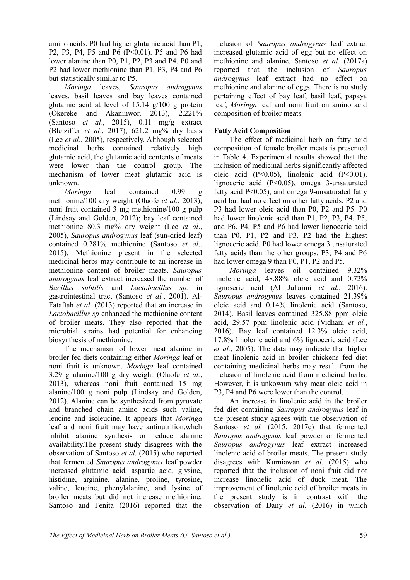amino acids. P0 had higher glutamic acid than P1, P2, P3, P4, P5 and P6 (P<0.01). P5 and P6 had lower alanine than P0, P1, P2, P3 and P4. P0 and P2 had lower methionine than P1, P3, P4 and P6 but statistically similar to P5.

*Moringa* leaves, *Sauropus androgynus* leaves, basil leaves and bay leaves contained glutamic acid at level of 15.14 g/100 g protein (Okereke and Akaninwor, 2013), 2.221% (Santoso *et al*., 2015), 0.11 mg/g extract (Bleiziffer *et al*., 2017), 621.2 mg% dry basis (Lee *et al.*, 2005), respectively. Although selected medicinal herbs contained relatively high glutamic acid, the glutamic acid contents of meats were lower than the control group. The mechanism of lower meat glutamic acid is unknown.

*Moringa* leaf contained 0.99 g methionine/100 dry weight (Olaofe *et al.*, 2013); noni fruit contained 3 mg methionine/100 g pulp (Lindsay and Golden, 2012); bay leaf contained methionine 80.3 mg% dry weight (Lee *et al*., 2005), *Sauropus androgynus* leaf (sun-dried leaf) contained 0.281% methionine (Santoso *et al*., 2015). Methionine present in the selected medicinal herbs may contribute to an increase in methionine content of broiler meats. *Sauropus androgynus* leaf extract increased the number of *Bacillus subtilis* and *Lactobacillus sp.* in gastrointestinal tract (Santoso *et al.*, 2001)*.* Al-Fataftah *et al.* (2013) reported that an increase in *Lactobacillus sp* enhanced the methionine content of broiler meats. They also reported that the microbial strains had potential for enhancing biosynthesis of methionine.

The mechanism of lower meat alanine in broiler fed diets containing either *Moringa* leaf or noni fruit is unknown. *Moringa* leaf contained 3.29 g alanine/100 g dry weight (Olaofe *et al.*, 2013), whereas noni fruit contained 15 mg alanine/100 g noni pulp (Lindsay and Golden, 2012). Alanine can be synthesized from pyruvate and branched chain amino acids such valine, leucine and isoleucine. It appears that *Moringa* leaf and noni fruit may have antinutrition,whch inhibit alanine synthesis or reduce alanine availability.The present study disagrees with the observation of Santoso *et al.* (2015) who reported that fermented *Sauropus androgynus* leaf powder increased glutamic acid, aspartic acid, glysine, histidine, arginine, alanine, proline, tyrosine, valine, leucine, phenylalanine, and lysine of broiler meats but did not increase methionine. Santoso and Fenita (2016) reported that the

inclusion of *Sauropus androgynus* leaf extract increased glutamic acid of egg but no effect on methionine and alanine. Santoso *et al.* (2017a) reported that the inclusion of *Sauropus androgynus* leaf extract had no effect on methionine and alanine of eggs. There is no study pertaining effect of bay leaf, basil leaf, papaya leaf, *Moringa* leaf and noni fruit on amino acid composition of broiler meats.

## **Fatty Acid Composition**

The effect of medicinal herb on fatty acid composition of female broiler meats is presented in Table 4. Experimental results showed that the inclusion of medicinal herbs significantly affected oleic acid (P<0.05), linolenic acid (P<0.01), lignoceric acid (P<0.05), omega 3-unsaturated fatty acid P<0.05), and omega 9-unsaturated fatty acid but had no effect on other fatty acids. P2 and P3 had lower oleic acid than P0, P2 and P5. P0 had lower linolenic acid than P1, P2, P3, P4. P5, and P6. P4, P5 and P6 had lower lignoceric acid than P0, P1, P2 and P3. P2 had the highest lignoceric acid. P0 had lower omega 3 unsaturated fatty acids than the other groups. P3, P4 and P6 had lower omega 9 than P0, P1, P2 and P5.

*Moringa* leaves oil contained 9.32% linolenic acid, 48.88% oleic acid and 0.72% lignoseric acid (Al Juhaimi *et al.*, 2016). *Sauropus androgynus* leaves contained 21.39% oleic acid and 0.14% linolenic acid (Santoso, 2014). Basil leaves contained 325.88 ppm oleic acid, 29.57 ppm linolenic acid (Vidhani *et al.*, 2016). Bay leaf contained 12.3% oleic acid, 17.8% linolenic acid and 6% lignoceric acid (Lee *et al.*, 2005). The data may indicate that higher meat linolenic acid in broiler chickens fed diet containing medicinal herbs may result from the inclusion of linolenic acid from medicinal herbs. However, it is unkownm why meat oleic acid in P3, P4 and P6 were lower than the control.

An increase in linolenic acid in the broiler fed diet containing *Sauropus androgynus* leaf in the present study agrees with the observation of Santoso *et al.* (2015, 2017c) that fermented *Sauropus androgynus* leaf powder or fermented *Sauropus androgynus* leaf extract increased linolenic acid of broiler meats. The present study disagrees with Kurniawan *et al.* (2015) who reported that the inclusion of noni fruit did not increase linonelic acid of duck meat. The improvement of linolenic acid of broiler meats in the present study is in contrast with the observation of Dany *et al.* (2016) in which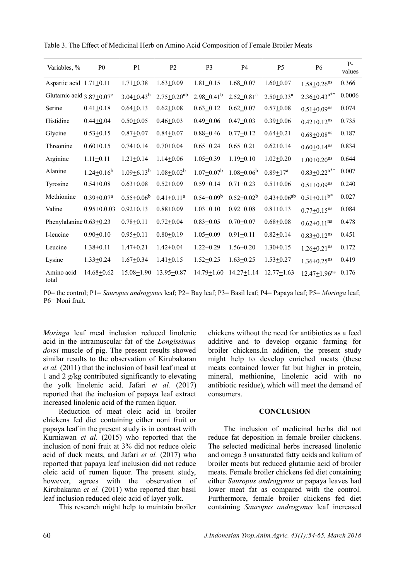| Variables, %                               | P <sub>0</sub>               | P <sub>1</sub>    | P <sub>2</sub>                | P <sub>3</sub>               | <b>P4</b>                    | P <sub>5</sub>               | <b>P6</b>                      | $P -$<br>values |
|--------------------------------------------|------------------------------|-------------------|-------------------------------|------------------------------|------------------------------|------------------------------|--------------------------------|-----------------|
| Aspartic acid $1.71 \pm 0.11$              |                              | $1.71 + 0.38$     | $1.63 \pm 0.09$               | $1.81 + 0.15$                | $1.68 + 0.07$                | $1.60 + 0.07$                | $1.58 + 0.26$ <sup>ns</sup>    | 0.366           |
| Glutamic acid $3.87 \pm 0.07$ <sup>c</sup> |                              | $3.04 \pm 0.43^b$ | $2.75 \pm 0.20$ <sup>ab</sup> | $2.98 \pm 0.41$ <sup>b</sup> | $2.52 \pm 0.81$ <sup>a</sup> | $2.50 \pm 0.33$ <sup>a</sup> | $2.36 \pm 0.43$ <sup>a**</sup> | 0.0006          |
| Serine                                     | $0.41 \pm 0.18$              | $0.64 \pm 0.13$   | $0.62 \pm 0.08$               | $0.63 \pm 0.12$              | $0.62 \pm 0.07$              | $0.57 + 0.08$                | $0.51 \pm 0.09$ <sup>ns</sup>  | 0.074           |
| Histidine                                  | $0.44 + 0.04$                | $0.50 + 0.05$     | $0.46 + 0.03$                 | $0.49 + 0.06$                | $0.47 + 0.03$                | $0.39 + 0.06$                | $0.42 \pm 0.12$ <sup>ns</sup>  | 0.735           |
| Glycine                                    | $0.53 + 0.15$                | $0.87 + 0.07$     | $0.84 + 0.07$                 | $0.88 + 0.46$                | $0.77 + 0.12$                | $0.64 \pm 0.21$              | $0.68 + 0.08$ ns               | 0.187           |
| Threonine                                  | $0.60 + 0.15$                | $0.74 + 0.14$     | $0.70 + 0.04$                 | $0.65 \pm 0.24$              | $0.65 \pm 0.21$              | $0.62 \pm 0.14$              | $0.60 + 0.14$ <sup>ns</sup>    | 0.834           |
| Arginine                                   | $1.11 \pm 0.11$              | $1.21 \pm 0.14$   | $1.14 \pm 0.06$               | $1.05 \pm 0.39$              | $1.19 + 0.10$                | $1.02 \pm 0.20$              | $1.00 + 0.20$ <sup>ns</sup>    | 0.644           |
| Alanine                                    | $1.24 \pm 0.16^b$            | $1.09 \pm 6.13^b$ | $1.08 \pm 0.02^b$             | $1.07 \pm 0.07^b$            | $1.08 \pm 0.06^b$            | $0.89 + 17a$                 | $0.83 \pm 0.22$ <sup>a**</sup> | 0.007           |
| Tyrosine                                   | $0.54 + 0.08$                | $0.63 \pm 0.08$   | $0.52 + 0.09$                 | $0.59 + 0.14$                | $0.71 \pm 0.23$              | $0.51 \pm 0.06$              | $0.51 \pm 0.09$ <sup>ns</sup>  | 0.240           |
| Methionine                                 | $0.39 \pm 0.07$ <sup>a</sup> | $0.55 \pm 0.06^b$ | $0.41 \pm 0.11$ <sup>a</sup>  | $0.54 \pm 0.09^b$            | $0.52 \pm 0.02^b$            | $0.43 \pm 0.06^{ab}$         | $0.51 \pm 0.11^{b*}$           | 0.027           |
| Valine                                     | $0.95 \pm 0.0.03$            | $0.92 \pm 0.13$   | $0.88 + 0.09$                 | $1.03 \pm 0.10$              | $0.92 \pm 0.08$              | $0.81 + 0.13$                | $0.77 \pm 0.15$ <sup>ns</sup>  | 0.084           |
| Phenylalanine $0.63 \pm 0.23$              |                              | $0.78 + 0.11$     | $0.72 \pm 0.04$               | $0.83 + 0.05$                | $0.70 + 0.07$                | $0.68 + 0.08$                | $0.62 \pm 0.11$ <sup>ns</sup>  | 0.478           |
| I-leucine                                  | $0.90 \pm 0.10$              | $0.95 \pm 0.11$   | $0.80 + 0.19$                 | $1.05 \pm 0.09$              | $0.91 \pm 0.11$              | $0.82 + 0.14$                | $0.83 \pm 0.12$ <sup>ns</sup>  | 0.451           |
| Leucine                                    | $1.38 + 0.11$                | $1.47 \pm 0.21$   | $1.42 \pm 0.04$               | $1.22 \pm 0.29$              | $1.56 + 0.20$                | $1.30 \pm 0.15$              | $1.26 \pm 0.21$ <sup>ns</sup>  | 0.172           |
| Lysine                                     | $1.33+0.24$                  | $1.67 \pm 0.34$   | $1.41 \pm 0.15$               | $1.52 \pm 0.25$              | $1.63 \pm 0.25$              | $1.53 \pm 0.27$              | $1.36 \pm 0.25$ <sup>ns</sup>  | 0.419           |
| Amino acid<br>total                        | $14.68 \pm 0.62$             | $15.08 + 1.90$    | $13.95 + 0.87$                | $14.79 + 1.60$               | $14.27 \pm 1.14$             | $12.77 + 1.63$               | $12.47 \pm 1.96$ <sup>ns</sup> | 0.176           |

Table 3. The Effect of Medicinal Herb on Amino Acid Composition of Female Broiler Meats

P0= the control; P1= *Sauropus androgynus* leaf; P2= Bay leaf; P3= Basil leaf; P4= Papaya leaf; P5= *Moringa* leaf; P6= Noni fruit.

*Moringa* leaf meal inclusion reduced linolenic acid in the intramuscular fat of the *Longissimus dorsi* muscle of pig. The present results showed similar results to the observation of Kirubakaran *et al.* (2011) that the inclusion of basil leaf meal at 1 and 2 g/kg contributed significantly to elevating the yolk linolenic acid. Jafari *et al.* (2017) reported that the inclusion of papaya leaf extract increased linolenic acid of the rumen liquor.

Reduction of meat oleic acid in broiler chickens fed diet containing either noni fruit or papaya leaf in the present study is in contrast with Kurniawan *et al.* (2015) who reported that the inclusion of noni fruit at 3% did not reduce oleic acid of duck meats, and Jafari *et al.* (2017) who reported that papaya leaf inclusion did not reduce oleic acid of rumen liquor. The present study, however, agrees with the observation of Kirubakaran *et al.* (2011) who reported that basil leaf inclusion reduced oleic acid of layer yolk.

This research might help to maintain broiler

chickens without the need for antibiotics as a feed additive and to develop organic farming for broiler chickens.In addition, the present study might help to develop enriched meats (these meats contained lower fat but higher in protein, mineral, methionine, linolenic acid with no antibiotic residue), which will meet the demand of consumers.

#### **CONCLUSION**

The inclusion of medicinal herbs did not reduce fat deposition in female broiler chickens. The selected medicinal herbs increased linolenic and omega 3 unsaturated fatty acids and kalium of broiler meats but reduced glutamic acid of broiler meats. Female broiler chickens fed diet containing either *Sauropus androgynus* or papaya leaves had lower meat fat as compared with the control. Furthermore, female broiler chickens fed diet containing *Sauropus androgynus* leaf increased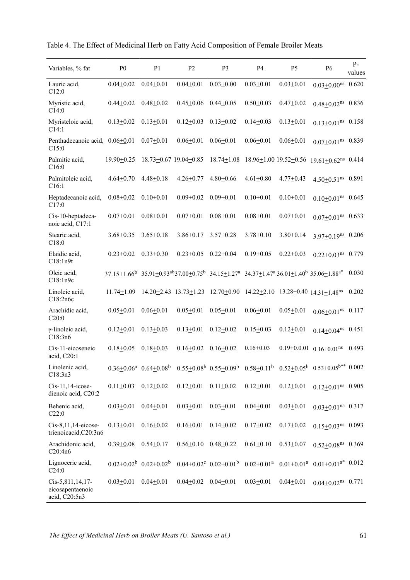|  | Table 4. The Effect of Medicinal Herb on Fatty Acid Composition of Female Broiler Meats |
|--|-----------------------------------------------------------------------------------------|
|--|-----------------------------------------------------------------------------------------|

| Variables, % fat                                      | P <sub>0</sub>                                                                                              | P <sub>1</sub>                      | P <sub>2</sub>                  | P3                                                                              | <b>P4</b>             | P <sub>5</sub>  | P6                                                                                                    | $P -$<br>values |
|-------------------------------------------------------|-------------------------------------------------------------------------------------------------------------|-------------------------------------|---------------------------------|---------------------------------------------------------------------------------|-----------------------|-----------------|-------------------------------------------------------------------------------------------------------|-----------------|
| Lauric acid,<br>C12:0                                 | $0.04 + 0.02$                                                                                               | $0.04 + 0.01$                       | $0.04 + 0.01$                   | $0.03 + 0.00$                                                                   | $0.03 + 0.01$         | $0.03 + 0.01$   | $0.03 \pm 0.00$ <sup>ns</sup>                                                                         | 0.620           |
| Myristic acid,<br>C14:0                               | $0.44 + 0.02$                                                                                               | $0.48 + 0.02$                       | $0.45 + 0.06$                   | $0.44 + 0.05$                                                                   | $0.50 + 0.03$         | $0.47 + 0.02$   | $0.48 + 0.02$ ns $0.836$                                                                              |                 |
| Myristeloic acid,<br>C14:1                            | $0.13 \pm 0.02$                                                                                             | $0.13 \pm 0.01$                     | $0.12 \pm 0.03$                 | $0.13 \pm 0.02$                                                                 | $0.14 + 0.03$         | $0.13 + 0.01$   | $0.13+0.01$ <sup>ns</sup> $0.158$                                                                     |                 |
| Penthadecanoic acid, 0.06+0.01<br>C15:0               |                                                                                                             | $0.07 + 0.01$                       | $0.06 + 0.01$                   | $0.06 + 0.01$                                                                   | $0.06 + 0.01$         | $0.06 + 0.01$   | $0.07 \pm 0.01$ <sup>ns</sup> 0.839                                                                   |                 |
| Palmitic acid,<br>C16:0                               | $19.90 \pm 0.25$                                                                                            |                                     | 18.73±0.67 19.04±0.85           | $18.74 \pm 1.08$                                                                | 18.96±1.00 19.52±0.56 |                 | $19.61 \pm 0.62$ <sup>ns</sup> 0.414                                                                  |                 |
| Palmitoleic acid,<br>C16:1                            | $4.64 \pm 0.70$                                                                                             | $4.48 \pm 0.18$                     | $4.26 \pm 0.77$                 | $4.80 \pm 0.66$                                                                 | $4.61 \pm 0.80$       | $4.77 \pm 0.43$ | $4.50+0.51$ <sup>ns</sup> 0.891                                                                       |                 |
| Heptadecanoic acid,<br>C17:0                          | $0.08 + 0.02$                                                                                               | $0.10 + 0.01$                       | $0.09 + 0.02$                   | $0.09 + 0.01$                                                                   | $0.10 + 0.01$         | $0.10 \pm 0.01$ | $0.10 \pm 0.01$ <sup>ns</sup> 0.645                                                                   |                 |
| Cis-10-heptadeca-<br>noic acid, C17:1                 | $0.07 + 0.01$                                                                                               | $0.08 + 0.01$                       | $0.07 + 0.01$                   | $0.08 + 0.01$                                                                   | $0.08 + 0.01$         | $0.07 + 0.01$   | $0.07 \pm 0.01$ <sup>ns</sup> 0.633                                                                   |                 |
| Stearic acid,<br>C18:0                                | $3.68 + 0.35$                                                                                               | $3.65 \pm 0.18$                     | $3.86 \pm 0.17$                 | $3.57 \pm 0.28$                                                                 | $3.78 + 0.10$         | $3.80 \pm 0.14$ | $3.97 \pm 0.19$ <sup>ns</sup> 0.206                                                                   |                 |
| Elaidic acid,<br>C18:1n9t                             | $0.23 + 0.02$                                                                                               | $0.33 + 0.30$                       | $0.23 \pm 0.05$                 | $0.22 \pm 0.04$                                                                 | $0.19 + 0.05$         | $0.22 + 0.03$   | $0.22 \pm 0.03$ <sup>ns</sup>                                                                         | 0.779           |
| Oleic acid,<br>C18:1n9c                               | $37.15+1.66^b$ $35.91+0.93^{ab}37.00+0.75^b$ $34.15+1.27^a$ $34.37+1.47^a$ $36.01+1.40^b$ $35.06+1.88^{a*}$ |                                     |                                 |                                                                                 |                       |                 |                                                                                                       | 0.030           |
| Linoleic acid,<br>C18:2n6c                            | $11.74 \pm 1.09$                                                                                            |                                     |                                 | 14.20+2.43 13.73+1.23 12.70+0.90 14.22+2.10 13.28+0.40 14.31+1.48 <sup>ns</sup> |                       |                 |                                                                                                       | 0.202           |
| Arachidic acid,<br>C20:0                              | $0.05 + 0.01$                                                                                               | $0.06 + 0.01$                       | $0.05 + 0.01$                   | $0.05 \pm 0.01$                                                                 | $0.06 + 0.01$         | $0.05 \pm 0.01$ | $0.06 + 0.01$ <sup>ns</sup> $0.117$                                                                   |                 |
| $\gamma$ -linoleic acid,<br>C18:3n6                   | $0.12 \pm 0.01$                                                                                             | $0.13 \pm 0.03$                     | $0.13 + 0.01$                   | $0.12 + 0.02$                                                                   | $0.15 \pm 0.03$       | $0.12 + 0.01$   | $0.14+0.04^{ns}$ 0.451                                                                                |                 |
| Cis-11-eicoseneic<br>acid, C20:1                      | $0.18 + 0.05$                                                                                               | $0.18 + 0.03$                       | $0.16 + 0.02$                   | $0.16 + 0.02$                                                                   | $0.16 \pm 0.03$       |                 | $0.19 \pm 0.001$ $0.16 \pm 0.01$ <sup>ns</sup> 0.493                                                  |                 |
| Linolenic acid,<br>C18:3n3                            |                                                                                                             | $0.36 \pm 0.06^a$ $0.64 \pm 0.08^b$ |                                 |                                                                                 |                       |                 | $0.55 \pm 0.08^b$ $0.55 \pm 0.09^b$ $0.58 \pm 0.11^b$ $0.52 \pm 0.05^b$ $0.53 \pm 0.05^{b**}$ $0.002$ |                 |
| $Cis-11,14-icose-$<br>dienoic acid, C20:2             | $0.11 \pm 0.03$                                                                                             | $0.12 \pm 0.02$                     | $0.12 \pm 0.01$ $0.11 \pm 0.02$ |                                                                                 | $0.12 \pm 0.01$       | $0.12 \pm 0.01$ | $0.12+0.01$ <sup>ns</sup> 0.905                                                                       |                 |
| Behenic acid,<br>C22:0                                | $0.03 \pm 0.01$                                                                                             | $0.04 + 0.01$                       | $0.03 \pm 0.01$                 | $0.03 \pm 0.01$                                                                 | $0.04 + 0.01$         | $0.03 \pm 0.01$ | $0.03 \pm 0.01$ <sup>na</sup> 0.317                                                                   |                 |
| Cis-8,11,14-eicose-<br>trienoicacid, C20:3n6          | $0.13 \pm 0.01$                                                                                             | $0.16 + 0.02$                       | $0.16 \pm 0.01$                 | $0.14 + 0.02$                                                                   | $0.17 + 0.02$         | $0.17 + 0.02$   | $0.15+0.03$ <sup>ns</sup> 0.093                                                                       |                 |
| Arachidonic acid,<br>C20:4n6                          | $0.39 + 0.08$                                                                                               | $0.54 \pm 0.17$                     | $0.56 \pm 0.10$ $0.48 \pm 0.22$ |                                                                                 | $0.61 \pm 0.10$       | $0.53 + 0.07$   | $0.52+0.08$ <sup>ns</sup> 0.369                                                                       |                 |
| Lignoceric acid,<br>C24:0                             |                                                                                                             | $0.02+0.02^b$ $0.02+0.02^b$         |                                 | $0.04 \pm 0.02^c$ $0.02 \pm 0.01^b$                                             |                       |                 | $0.02+0.01^a$ $0.01+0.01^a$ $0.01+0.01^{a*}$ $0.012$                                                  |                 |
| Cis-5,811,14,17-<br>eicosapentaenoic<br>acid, C20:5n3 | $0.03 \pm 0.01$                                                                                             | $0.04 \pm 0.01$                     | $0.04 \pm 0.02$ $0.04 \pm 0.01$ |                                                                                 | $0.03 + 0.01$         | $0.04 + 0.01$   | $0.04+0.02$ <sup>ns</sup> $0.771$                                                                     |                 |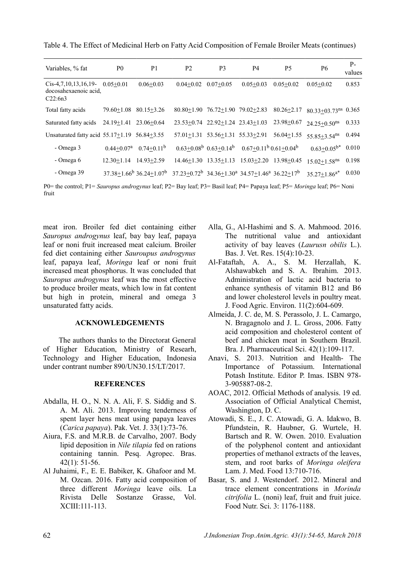| Variables, % fat                                           | P <sub>0</sub>                | P1                                         | P <sub>2</sub>                                            | P3                                                 | P <sub>4</sub>                                          | <b>P5</b>        | P6                                  | $P-$<br>values |
|------------------------------------------------------------|-------------------------------|--------------------------------------------|-----------------------------------------------------------|----------------------------------------------------|---------------------------------------------------------|------------------|-------------------------------------|----------------|
| $Cis-4,7,10,13,16,19-$<br>docosahexaenoic acid.<br>C22:6n3 | $0.05 + 0.01$                 | $0.06 + 0.03$                              | $0.04 + 0.02$                                             | $0.07+0.05$                                        | $0.05 + 0.03$                                           | $0.05 + 0.02$    | $0.05 + 0.02$                       | 0.853          |
| Total fatty acids                                          | $79.60 + 1.08$                | $80.15 + 3.26$                             |                                                           | $80.80+1.90$ $76.72+1.90$ $79.02+2.83$             |                                                         | $80.26 \pm 2.17$ | $80.33 + 03.73$ <sup>ns</sup> 0.365 |                |
| Saturated fatty acids                                      | $24.19 + 1.41$ $23.06 + 0.64$ |                                            |                                                           | 23.53+0.74 22.92+1.24 23.43+1.03                   |                                                         | $23.98 + 0.67$   | $24.25 + 0.50$ <sup>ns</sup>        | 0.333          |
| Unsaturated fatty acid $55.17 \pm 1.19$ $56.84 \pm 3.55$   |                               |                                            |                                                           | $57.01 \pm 1.31$ $53.56 \pm 1.31$ $55.33 \pm 2.91$ |                                                         | $56.04+1.55$     | $55.85 + 3.54$ <sup>ns</sup>        | 0.494          |
| - Omega 3                                                  | $0.44 + 0.07a$                | $0.74+0.11b$                               |                                                           |                                                    | $0.63+0.08^b$ $0.63+0.14^b$ $0.67+0.11^b$ $0.61+0.04^b$ |                  | $0.63 \pm 0.05^{b*}$                | 0.010          |
| - Omega 6                                                  | $12.30 + 1.14$                | $14.93 + 2.59$                             |                                                           | $14.46+1.30$ $13.35+1.13$                          | $15.03 + 2.20$                                          | $13.98 + 0.45$   | $15.02 \pm 1.58$ <sup>ns</sup>      | 0.198          |
| - Omega 39                                                 |                               | $37.38 + 1.66^b$ 36.24 + 1.07 <sup>b</sup> | $37.23+0.72^b$ $34.36+1.30^a$ $34.57+1.46^a$ $36.22+17^b$ |                                                    |                                                         |                  | $35.27 \pm 1.86^{a*}$               | 0.030          |

Table 4. The Effect of Medicinal Herb on Fatty Acid Composition of Female Broiler Meats (continues)

P0= the control; P1= *Sauropus androgynus* leaf; P2= Bay leaf; P3= Basil leaf; P4= Papaya leaf; P5= *Moringa* leaf; P6= Noni fruit

meat iron. Broiler fed diet containing either *Sauropus androgynus* leaf, bay bay leaf, papaya leaf or noni fruit increased meat calcium. Broiler fed diet containing either *Sauroupus androgynus* leaf, papaya leaf, *Moringa* leaf or noni fruit increased meat phosphorus. It was concluded that *Sauropus androgynus* leaf was the most effective to produce broiler meats, which low in fat content but high in protein, mineral and omega 3 unsaturated fatty acids.

#### **ACKNOWLEDGEMENTS**

The authors thanks to the Directorat General of Higher Education, Ministry of Researh, Technology and Higher Education, Indonesia under contrant number 890/UN30.15/LT/2017.

#### **REFERENCES**

- Abdalla, H. O., N. N. A. Ali, F. S. Siddig and S. A. M. Ali. 2013. Improving tenderness of spent layer hens meat using papaya leaves (*Carica papaya*). Pak. Vet. J. 33(1):73-76.
- Aiura, F.S. and M.R.B. de Carvalho, 2007. Body lipid deposition in *Nile tilapia* fed on rations containing tannin. Pesq. Agropec. Bras. 42(1): 51-56.
- Al Juhaimi, F., E. E. Babiker, K. Ghafoor and M. M. Ozcan. 2016. Fatty acid composition of three different *Moringa* leave oils. La Rivista Delle Sostanze Grasse, Vol. XCIII:111-113.
- Alla, G., Al-Hashimi and S. A. Mahmood. 2016. The nutritional value and antioxidant activity of bay leaves (*Laurusn obilis* L.). Bas. J. Vet. Res. 15(4):10-23.
- Al-Fataftah, A. A., S. M. Herzallah, K. Alshawabkeh and S. A. Ibrahim. 2013. Administration of lactic acid bacteria to enhance synthesis of vitamin B12 and B6 and lower cholesterol levels in poultry meat. J. Food Agric. Environ. 11(2):604-609.
- Almeida, J. C. de, M. S. Perassolo, J. L. Camargo, N. Bragagnolo and J. L. Gross, 2006. Fatty acid composition and cholesterol content of beef and chicken meat in Southern Brazil. Bra. J. Pharmaceutical Sci. 42(1):109-117.
- Anavi, S. 2013. Nutrition and Health- The Importance of Potassium. International Potash Institute. Editor P. Imas. ISBN 978- 3-905887-08-2.
- AOAC, 2012. Official Methods of analysis. 19 ed. Association of Official Analytical Chemist, Washington, D. C.
- Atowadi, S. E., J. C. Atowadi, G. A. Idakwo, B. Pfundstein, R. Haubner, G. Wurtele, H. Bartsch and R. W. Owen. 2010. Evaluation of the polyphenol content and antioxidant properties of methanol extracts of the leaves, stem, and root barks of *Moringa oleifera* Lam. J. Med. Food 13:710-716.
- Basar, S. and J. Westendorf. 2012. Mineral and trace element concentrations in *Morinda citrifolia* L. (noni) leaf, fruit and fruit juice. Food Nutr. Sci. 3: 1176-1188.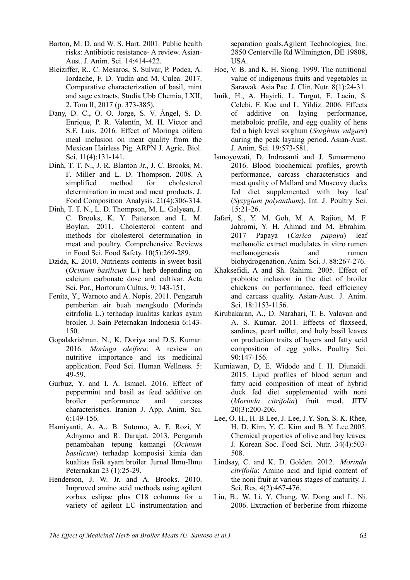- Barton, M. D. and W. S. Hart. 2001. Public health risks: Antibiotic resistance- A review. Asian-Aust. J. Anim. Sci. 14:414-422.
- Bleiziffer, R., C. Mesaros, S. Sulvar, P. Podea, A. Iordache, F. D. Yudin and M. Culea. 2017. Comparative characterization of basil, mint and sage extracts. Studia Ubb Chemia, LXII, 2, Tom II, 2017 (p. 373-385).
- Dany, D. C., O. O. Jorge, S. V. Ángel, S. D. Enrique, P. R. Valentín, M. H. Víctor and S.F. Luis. 2016. Effect of Moringa olifera meal inclusion on meat quality from the Mexican Hairless Pig. ARPN J. Agric. Biol. Sci. 11(4):131-141.
- Dinh, T. T. N., J. R. Blanton Jr., J. C. Brooks, M. F. Miller and L. D. Thompson. 2008. A simplified method for cholesterol determination in meat and meat products. J. Food Composition Analysis. 21(4):306-314.
- Dinh, T. T. N., L. D. Thompson, M. L. Galyean, J. C. Brooks, K. Y. Patterson and L. M. Boylan. 2011. Cholesterol content and methods for cholesterol determination in meat and poultry. Comprehensive Reviews in Food Sci. Food Safety. 10(5):269-289.
- Dzida, K. 2010. Nutrients contents in sweet basil (*Ocimum basilicum* L.) herb depending on calcium carbonate dose and cultivar. Acta Sci. Por., Hortorum Cultus, 9: 143-151.
- Fenita, Y., Warnoto and A. Nopis. 2011. Pengaruh pemberian air buah mengkudu (Morinda citrifolia L.) terhadap kualitas karkas ayam broiler. J. Sain Peternakan Indonesia 6:143- 150.
- Gopalakrishnan, N., K. Doriya and D.S. Kumar. 2016. *Moringa oleifera*: A review on nutritive importance and its medicinal application. Food Sci. Human Wellness. 5: 49-59.
- Gurbuz, Y. and I. A. Ismael. 2016. Effect of peppermint and basil as feed additive on broiler performance and carcass characteristics. Iranian J. App. Anim. Sci. 6:149-156.
- Hamiyanti, A. A., B. Sutomo, A. F. Rozi, Y. Adnyono and R. Darajat. 2013. Pengaruh penambahan tepung kemangi (*Ocimum basilicum*) terhadap komposisi kimia dan kualitas fisik ayam broiler. Jurnal Ilmu-Ilmu Peternakan 23 (1):25-29.
- Henderson, J. W. Jr. and A. Brooks. 2010. Improved amino acid methods using agilent zorbax eslipse plus C18 columns for a variety of agilent LC instrumentation and

separation goals.Agilent Technologies, Inc. 2850 Centerville Rd Wilmington, DE 19808, USA.

- Hoe, V. B. and K. H. Siong. 1999. The nutritional value of indigenous fruits and vegetables in Sarawak. Asia Pac. J. Clin. Nutr. 8(1):24-31.
- Imik, H., A. Hayirli, L. Turgut, E. Lacin, S. Celebi, F. Koc and L. Yildiz. 2006. Effects of additive on laying performance, metaboloic profile, and egg quality of hens fed a high level sorghum (*Sorghum vulgare*) during the peak layaing period. Asian-Aust. J. Anim. Sci. 19:573-581.
- Ismoyowati, D. Indrasanti and J. Sumarmono. 2016. Blood biochemical profiles, growth performance, carcass characteristics and meat quality of Mallard and Muscovy ducks fed diet supplemented with bay leaf (*Syzygium polyanthum*). Int. J. Poultry Sci. 15:21-26.
- Jafari, S., Y. M. Goh, M. A. Rajion, M. F. Jahromi, Y. H. Ahmad and M. Ebrahim. 2017 Papaya (*Carica papaya*) leaf methanolic extract modulates in vitro rumen methanogenesis and rumen biohydrogenation. Anim. Sci. J. 88:267-276.
- Khaksefidi, A and Sh. Rahimi. 2005. Effect of probiotic inclusion in the diet of broiler chickens on performance, feed efficiency and carcass quality. Asian-Aust. J. Anim. Sci. 18:1153-1156.
- Kirubakaran, A., D. Narahari, T. E. Valavan and A. S. Kumar. 2011. Effects of flaxseed, sardines, pearl millet, and holy basil leaves on production traits of layers and fatty acid composition of egg yolks. Poultry Sci. 90:147-156.
- Kurniawan, D, E. Widodo and I. H. Djunaidi. 2015. Lipid profiles of blood serum and fatty acid composition of meat of hybrid duck fed diet supplemented with noni (*Morinda citrifolia*) fruit meal. JITV 20(3):200-206.
- Lee, O. H., H. B.Lee, J. Lee, J.Y. Son, S. K. Rhee, H. D. Kim, Y. C. Kim and B. Y. Lee.2005. Chemical properties of olive and bay leaves. J. Korean Soc. Food Sci. Nutr. 34(4):503- 508.
- Lindsay, C. and K. D. Golden. 2012. *Morinda citrifolia*: Amino acid and lipid content of the noni fruit at various stages of maturity. J. Sci. Res. 4(2):467-476.
- Liu, B., W. Li, Y. Chang, W. Dong and L. Ni. 2006. Extraction of berberine from rhizome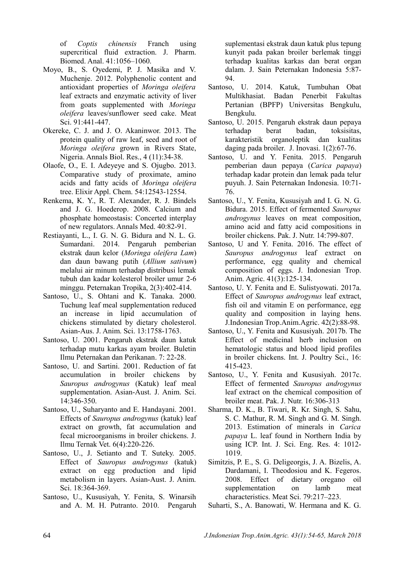of *Coptis chinensis* Franch using supercritical fluid extraction. J. Pharm. Biomed. Anal. 41:1056–1060.

- Moyo, B., S. Oyedemi, P. J. Masika and V. Muchenje. 2012. Polyphenolic content and antioxidant properties of *Moringa oleifera* leaf extracts and enzymatic activity of liver from goats supplemented with *Moringa oleifera* leaves/sunflower seed cake. Meat Sci. 91:441-447.
- Okereke, C. J. and J. O. Akaninwor. 2013. The protein quality of raw leaf, seed and root of *Moringa oleifera* grown in Rivers State, Nigeria. Annals Biol. Res., 4 (11):34-38.
- Olaofe, O., E. I. Adeyeye and S. Ojugbo. 2013. Comparative study of proximate, amino acids and fatty acids of *Moringa oleifera* tree. Elixir Appl. Chem. 54:12543-12554.
- Renkema, K. Y., R. T. Alexander, R. J. Bindels and J. G. Hoederop. 2008. Calcium and phosphate homeostasis: Concerted interplay of new regulators. Annals Med. 40:82-91.
- Restiayanti, L., I. G. N. G. Bidura and N. L. G. Sumardani. 2014. Pengaruh pemberian ekstrak daun kelor (*Moringa oleifera Lam*) dan daun bawang putih (*Allium sativum*) melalui air minum terhadap distribusi lemak tubuh dan kadar kolesterol broiler umur 2-6 minggu. Peternakan Tropika, 2(3):402-414.
- Santoso, U., S. Ohtani and K. Tanaka. 2000. Tuchung leaf meal supplementation reduced an increase in lipid accumulation of chickens stimulated by dietary cholesterol. Asian-Aus. J. Anim. Sci. 13:1758-1763.
- Santoso, U. 2001. Pengaruh ekstrak daun katuk terhadap mutu karkas ayam broiler. Buletin Ilmu Peternakan dan Perikanan. 7: 22-28.
- Santoso, U. and Sartini. 2001. Reduction of fat accumulation in broiler chickens by *Sauropus androgynus* (Katuk) leaf meal supplementation. Asian-Aust. J. Anim. Sci. 14:346-350.
- Santoso, U., Suharyanto and E. Handayani. 2001. Effects of *Sauropus androgynus* (katuk) leaf extract on growth, fat accumulation and fecal microorganisms in broiler chickens. J. Ilmu Ternak Vet. 6(4):220-226.
- Santoso, U., J. Setianto and T. Suteky. 2005. Effect of *Sauropus androgynus* (katuk) extract on egg production and lipid metabolism in layers. Asian-Aust. J. Anim. Sci. 18:364-369.
- Santoso, U., Kususiyah, Y. Fenita, S. Winarsih and A. M. H. Putranto. 2010. Pengaruh

suplementasi ekstrak daun katuk plus tepung kunyit pada pakan broiler berlemak tinggi terhadap kualitas karkas dan berat organ dalam. J. Sain Peternakan Indonesia 5:87- 94.

- Santoso, U. 2014. Katuk, Tumbuhan Obat Multikhasiat. Badan Penerbit Fakultas Pertanian (BPFP) Universitas Bengkulu, Bengkulu.
- Santoso, U. 2015. Pengaruh ekstrak daun pepaya terhadap berat badan, toksisitas, karakteristik organoleptik dan kualitas daging pada broiler. J. Inovasi. 1(2):67-76.
- Santoso, U. and Y. Fenita. 2015. Pengaruh pemberian daun pepaya (*Carica papaya*) terhadap kadar protein dan lemak pada telur puyuh. J. Sain Peternakan Indonesia. 10:71- 76.
- Santoso, U., Y. Fenita, Kususiyah and I. G. N. G. Bidura. 2015. Effect of fermented *Sauropus androgynus* leaves on meat composition, amino acid and fatty acid compositions in broiler chickens. Pak. J. Nutr. 14:799-807.
- Santoso, U and Y. Fenita. 2016. The effect of *Sauropus androgynus* leaf extract on performance, egg quality and chemical composition of eggs. J. Indonesian Trop. Anim. Agric. 41(3):125-134.
- Santoso, U. Y. Fenita and E. Sulistyowati. 2017a. Effect of *Sauropus androgynus* leaf extract, fish oil and vitamin E on performance, egg quality and composition in laying hens. J.Indonesian Trop.Anim.Agric. 42(2):88-98.
- Santoso, U., Y. Fenita and Kususiyah. 2017b. The Effect of medicinal herb inclusion on hematologic status and blood lipid profiles in broiler chickens. Int. J. Poultry Sci., 16: 415-423.
- Santoso, U., Y. Fenita and Kususiyah. 2017c. Effect of fermented *Sauropus androgynus* leaf extract on the chemical composition of broiler meat. Pak. J. Nutr. 16:306-313
- Sharma, D. K., B. Tiwari, R. Kr. Singh, S. Sahu, S. C. Mathur, R. M. Singh and G. M. Singh. 2013. Estimation of minerals in *Carica papaya* L. leaf found in Northern India by using ICP. Int. J. Sci. Eng. Res. 4: 1012- 1019.
- Simitzis, P. E., S. G. Deligeorgis, J. A. Bizelis, A. Dardamani, I. Theodosiou and K. Fegeros. 2008. Effect of dietary oregano oil supplementation on lamb meat characteristics. Meat Sci. 79:217–223.
- Suharti, S., A. Banowati, W. Hermana and K. G.